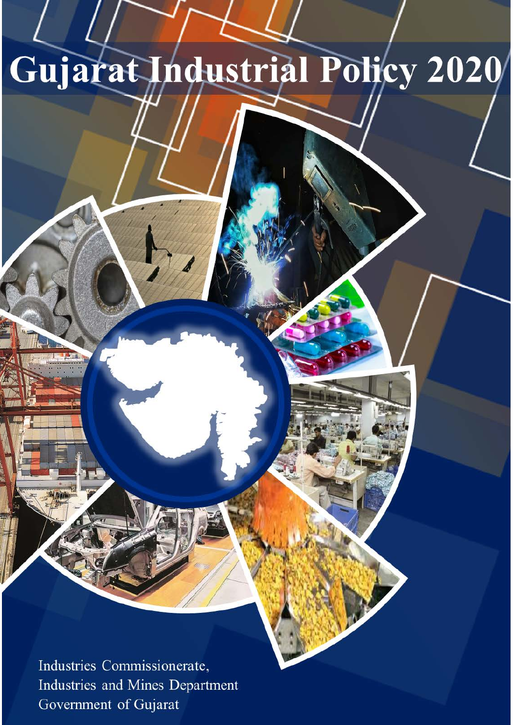# Gujarat Industrial Policy 2020

Industries Commissionerate, Industries and Mines Department Government of Gujarat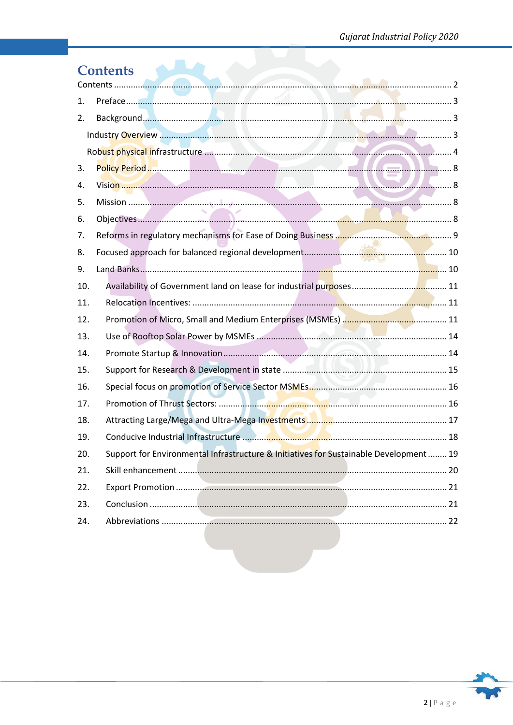## **Contents**

**The Contract of Street** 

| 1.  |                                                                                        |  |  |  |
|-----|----------------------------------------------------------------------------------------|--|--|--|
| 2.  |                                                                                        |  |  |  |
|     |                                                                                        |  |  |  |
|     |                                                                                        |  |  |  |
| 3.  |                                                                                        |  |  |  |
| 4.  |                                                                                        |  |  |  |
| 5.  |                                                                                        |  |  |  |
| 6.  |                                                                                        |  |  |  |
| 7.  |                                                                                        |  |  |  |
| 8.  |                                                                                        |  |  |  |
| 9.  |                                                                                        |  |  |  |
| 10. |                                                                                        |  |  |  |
| 11. |                                                                                        |  |  |  |
| 12. |                                                                                        |  |  |  |
| 13. |                                                                                        |  |  |  |
| 14. |                                                                                        |  |  |  |
| 15. |                                                                                        |  |  |  |
| 16. |                                                                                        |  |  |  |
| 17. |                                                                                        |  |  |  |
| 18. |                                                                                        |  |  |  |
| 19. |                                                                                        |  |  |  |
| 20. | Support for Environmental Infrastructure & Initiatives for Sustainable Development  19 |  |  |  |
| 21. |                                                                                        |  |  |  |
| 22. |                                                                                        |  |  |  |
| 23. |                                                                                        |  |  |  |
| 24. |                                                                                        |  |  |  |

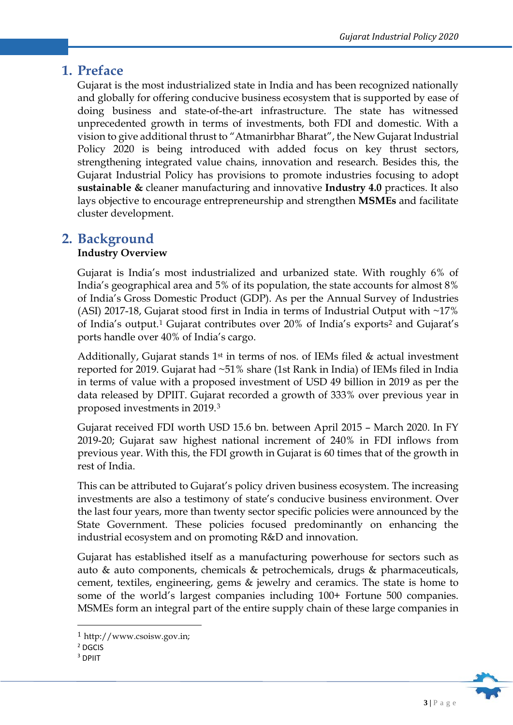#### **1. Preface**

Gujarat is the most industrialized state in India and has been recognized nationally and globally for offering conducive business ecosystem that is supported by ease of doing business and state-of-the-art infrastructure. The state has witnessed unprecedented growth in terms of investments, both FDI and domestic. With a vision to give additional thrust to "Atmanirbhar Bharat", the New Gujarat Industrial Policy 2020 is being introduced with added focus on key thrust sectors, strengthening integrated value chains, innovation and research. Besides this, the Gujarat Industrial Policy has provisions to promote industries focusing to adopt **sustainable &** cleaner manufacturing and innovative **Industry 4.0** practices. It also lays objective to encourage entrepreneurship and strengthen **MSMEs** and facilitate cluster development.

#### **2. Background Industry Overview**

Gujarat is India's most industrialized and urbanized state. With roughly 6% of India's geographical area and 5% of its population, the state accounts for almost 8% of India's Gross Domestic Product (GDP). As per the Annual Survey of Industries (ASI) 2017-18, Gujarat stood first in India in terms of Industrial Output with ~17% of India's output.1 Gujarat contributes over 20% of India's exports2 and Gujarat's ports handle over 40% of India's cargo.

Additionally, Gujarat stands  $1<sup>st</sup>$  in terms of nos. of IEMs filed & actual investment reported for 2019. Gujarat had ~51% share (1st Rank in India) of IEMs filed in India in terms of value with a proposed investment of USD 49 billion in 2019 as per the data released by DPIIT. Gujarat recorded a growth of 333% over previous year in proposed investments in 2019.3

Gujarat received FDI worth USD 15.6 bn. between April 2015 – March 2020. In FY 2019-20; Gujarat saw highest national increment of 240% in FDI inflows from previous year. With this, the FDI growth in Gujarat is 60 times that of the growth in rest of India.

This can be attributed to Gujarat's policy driven business ecosystem. The increasing investments are also a testimony of state's conducive business environment. Over the last four years, more than twenty sector specific policies were announced by the State Government. These policies focused predominantly on enhancing the industrial ecosystem and on promoting R&D and innovation.

Gujarat has established itself as a manufacturing powerhouse for sectors such as auto & auto components, chemicals & petrochemicals, drugs & pharmaceuticals, cement, textiles, engineering, gems & jewelry and ceramics. The state is home to some of the world's largest companies including 100+ Fortune 500 companies. MSMEs form an integral part of the entire supply chain of these large companies in



<sup>1</sup> http://www.csoisw.gov.in;

<sup>&</sup>lt;sup>2</sup> DGCIS

<sup>3</sup> DPIIT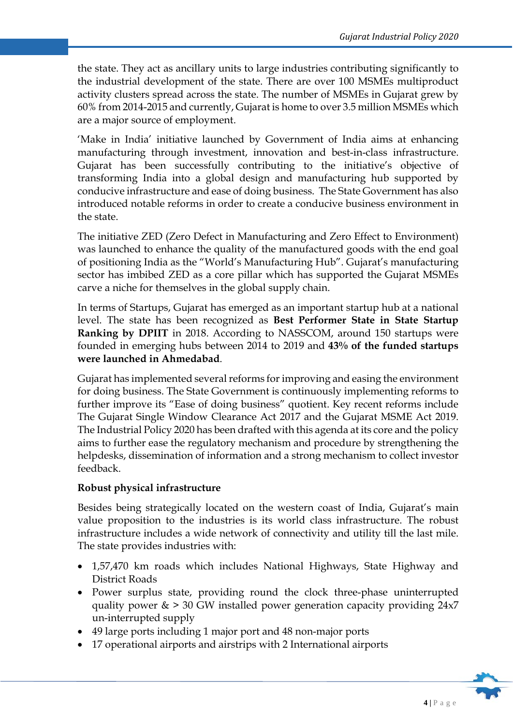the state. They act as ancillary units to large industries contributing significantly to the industrial development of the state. There are over 100 MSMEs multiproduct activity clusters spread across the state. The number of MSMEs in Gujarat grew by 60% from 2014-2015 and currently, Gujarat is home to over 3.5 million MSMEs which are a major source of employment.

'Make in India' initiative launched by Government of India aims at enhancing manufacturing through investment, innovation and best-in-class infrastructure. Gujarat has been successfully contributing to the initiative's objective of transforming India into a global design and manufacturing hub supported by conducive infrastructure and ease of doing business. The State Government has also introduced notable reforms in order to create a conducive business environment in the state.

The initiative ZED (Zero Defect in Manufacturing and Zero Effect to Environment) was launched to enhance the quality of the manufactured goods with the end goal of positioning India as the "World's Manufacturing Hub". Gujarat's manufacturing sector has imbibed ZED as a core pillar which has supported the Gujarat MSMEs carve a niche for themselves in the global supply chain.

In terms of Startups, Gujarat has emerged as an important startup hub at a national level. The state has been recognized as **Best Performer State in State Startup Ranking by DPIIT** in 2018. According to NASSCOM, around 150 startups were founded in emerging hubs between 2014 to 2019 and **43% of the funded startups were launched in Ahmedabad**.

Gujarat has implemented several reforms for improving and easing the environment for doing business. The State Government is continuously implementing reforms to further improve its "Ease of doing business" quotient. Key recent reforms include The Gujarat Single Window Clearance Act 2017 and the Gujarat MSME Act 2019. The Industrial Policy 2020 has been drafted with this agenda at its core and the policy aims to further ease the regulatory mechanism and procedure by strengthening the helpdesks, dissemination of information and a strong mechanism to collect investor feedback.

#### **Robust physical infrastructure**

Besides being strategically located on the western coast of India, Gujarat's main value proposition to the industries is its world class infrastructure. The robust infrastructure includes a wide network of connectivity and utility till the last mile. The state provides industries with:

- 1,57,470 km roads which includes National Highways, State Highway and District Roads
- Power surplus state, providing round the clock three-phase uninterrupted quality power  $\&$  > 30 GW installed power generation capacity providing 24x7 un-interrupted supply
- 49 large ports including 1 major port and 48 non-major ports
- 17 operational airports and airstrips with 2 International airports

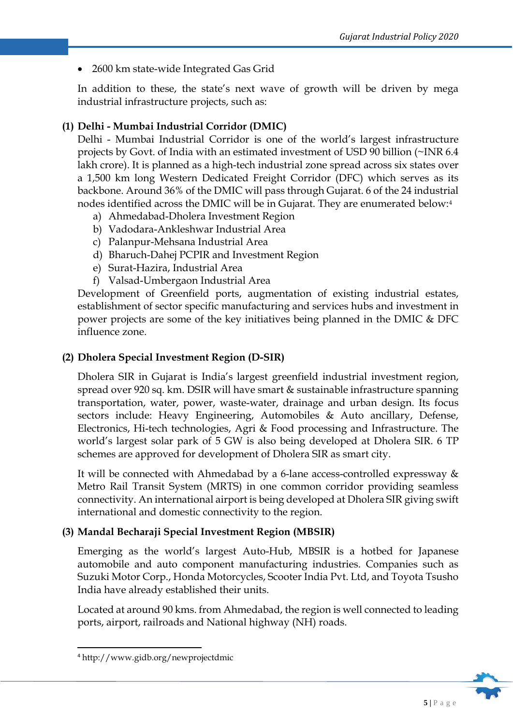• 2600 km state-wide Integrated Gas Grid

In addition to these, the state's next wave of growth will be driven by mega industrial infrastructure projects, such as:

#### **(1) Delhi - Mumbai Industrial Corridor (DMIC)**

Delhi - Mumbai Industrial Corridor is one of the world's largest infrastructure projects by Govt. of India with an estimated investment of USD 90 billion (~INR 6.4 lakh crore). It is planned as a high-tech industrial zone spread across six states over a 1,500 km long Western Dedicated Freight Corridor (DFC) which serves as its backbone. Around 36% of the DMIC will pass through Gujarat. 6 of the 24 industrial nodes identified across the DMIC will be in Gujarat. They are enumerated below:4

- a) Ahmedabad-Dholera Investment Region
- b) Vadodara-Ankleshwar Industrial Area
- c) Palanpur-Mehsana Industrial Area
- d) Bharuch-Dahej PCPIR and Investment Region
- e) Surat-Hazira, Industrial Area
- f) Valsad-Umbergaon Industrial Area

Development of Greenfield ports, augmentation of existing industrial estates, establishment of sector specific manufacturing and services hubs and investment in power projects are some of the key initiatives being planned in the DMIC & DFC influence zone.

#### **(2) Dholera Special Investment Region (D-SIR)**

Dholera SIR in Gujarat is India's largest greenfield industrial investment region, spread over 920 sq. km. DSIR will have smart & sustainable infrastructure spanning transportation, water, power, waste-water, drainage and urban design. Its focus sectors include: Heavy Engineering, Automobiles & Auto ancillary, Defense, Electronics, Hi-tech technologies, Agri & Food processing and Infrastructure. The world's largest solar park of 5 GW is also being developed at Dholera SIR. 6 TP schemes are approved for development of Dholera SIR as smart city.

It will be connected with Ahmedabad by a 6-lane access-controlled expressway & Metro Rail Transit System (MRTS) in one common corridor providing seamless connectivity. An international airport is being developed at Dholera SIR giving swift international and domestic connectivity to the region.

#### **(3) Mandal Becharaji Special Investment Region (MBSIR)**

Emerging as the world's largest Auto-Hub, MBSIR is a hotbed for Japanese automobile and auto component manufacturing industries. Companies such as Suzuki Motor Corp., Honda Motorcycles, Scooter India Pvt. Ltd, and Toyota Tsusho India have already established their units.

Located at around 90 kms. from Ahmedabad, the region is well connected to leading ports, airport, railroads and National highway (NH) roads.



<sup>4</sup> http://www.gidb.org/newprojectdmic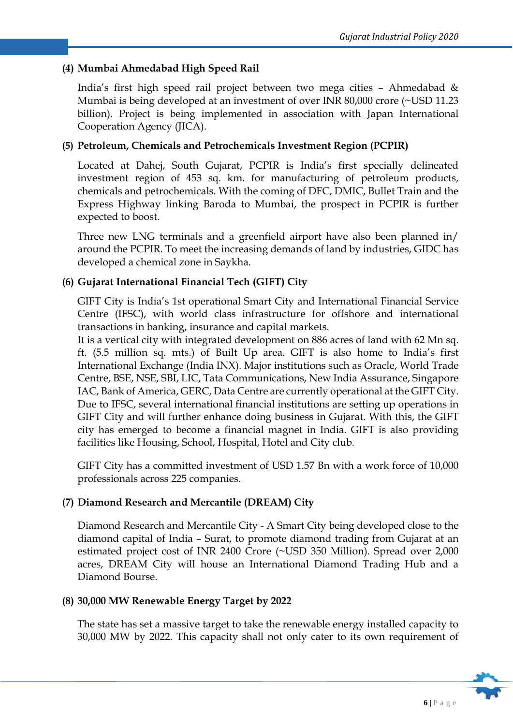#### **(4) Mumbai Ahmedabad High Speed Rail**

India's first high speed rail project between two mega cities – Ahmedabad & Mumbai is being developed at an investment of over INR 80,000 crore (~USD 11.23 billion). Project is being implemented in association with Japan International Cooperation Agency (JICA).

#### **(5) Petroleum, Chemicals and Petrochemicals Investment Region (PCPIR)**

Located at Dahej, South Gujarat, PCPIR is India's first specially delineated investment region of 453 sq. km. for manufacturing of petroleum products, chemicals and petrochemicals. With the coming of DFC, DMIC, Bullet Train and the Express Highway linking Baroda to Mumbai, the prospect in PCPIR is further expected to boost.

Three new LNG terminals and a greenfield airport have also been planned in/ around the PCPIR. To meet the increasing demands of land by industries, GIDC has developed a chemical zone in Saykha.

#### **(6) Gujarat International Financial Tech (GIFT) City**

GIFT City is India's 1st operational Smart City and International Financial Service Centre (IFSC), with world class infrastructure for offshore and international transactions in banking, insurance and capital markets.

It is a vertical city with integrated development on 886 acres of land with 62 Mn sq. ft. (5.5 million sq. mts.) of Built Up area. GIFT is also home to India's first International Exchange (India INX). Major institutions such as Oracle, World Trade Centre, BSE, NSE, SBI, LIC, Tata Communications, New India Assurance, Singapore IAC, Bank of America, GERC, Data Centre are currently operational at the GIFT City. Due to IFSC, several international financial institutions are setting up operations in GIFT City and will further enhance doing business in Gujarat. With this, the GIFT city has emerged to become a financial magnet in India. GIFT is also providing facilities like Housing, School, Hospital, Hotel and City club.

GIFT City has a committed investment of USD 1.57 Bn with a work force of 10,000 professionals across 225 companies.

#### **(7) Diamond Research and Mercantile (DREAM) City**

Diamond Research and Mercantile City - A Smart City being developed close to the diamond capital of India – Surat, to promote diamond trading from Gujarat at an estimated project cost of INR 2400 Crore (~USD 350 Million). Spread over 2,000 acres, DREAM City will house an International Diamond Trading Hub and a Diamond Bourse.

#### **(8) 30,000 MW Renewable Energy Target by 2022**

The state has set a massive target to take the renewable energy installed capacity to 30,000 MW by 2022. This capacity shall not only cater to its own requirement of

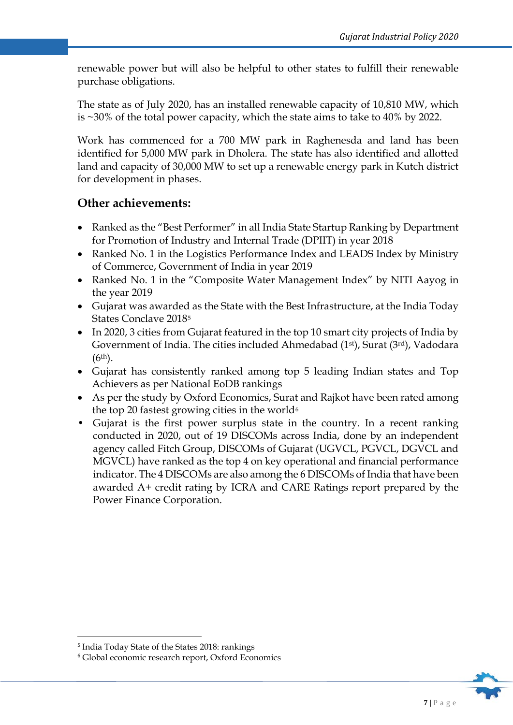renewable power but will also be helpful to other states to fulfill their renewable purchase obligations.

The state as of July 2020, has an installed renewable capacity of 10,810 MW, which is ~30% of the total power capacity, which the state aims to take to 40% by 2022.

Work has commenced for a 700 MW park in Raghenesda and land has been identified for 5,000 MW park in Dholera. The state has also identified and allotted land and capacity of 30,000 MW to set up a renewable energy park in Kutch district for development in phases.

#### **Other achievements:**

- Ranked as the "Best Performer" in all India State Startup Ranking by Department for Promotion of Industry and Internal Trade (DPIIT) in year 2018
- Ranked No. 1 in the Logistics Performance Index and LEADS Index by Ministry of Commerce, Government of India in year 2019
- Ranked No. 1 in the "Composite Water Management Index" by NITI Aayog in the year 2019
- Gujarat was awarded as the State with the Best Infrastructure, at the India Today States Conclave 20185
- In 2020, 3 cities from Gujarat featured in the top 10 smart city projects of India by Government of India. The cities included Ahmedabad (1st), Surat (3rd), Vadodara  $(6<sup>th</sup>)$ .
- Gujarat has consistently ranked among top 5 leading Indian states and Top Achievers as per National EoDB rankings
- As per the study by Oxford Economics, Surat and Rajkot have been rated among the top 20 fastest growing cities in the world<sup>6</sup>
- Gujarat is the first power surplus state in the country. In a recent ranking conducted in 2020, out of 19 DISCOMs across India, done by an independent agency called Fitch Group, DISCOMs of Gujarat (UGVCL, PGVCL, DGVCL and MGVCL) have ranked as the top 4 on key operational and financial performance indicator. The 4 DISCOMs are also among the 6 DISCOMs of India that have been awarded A+ credit rating by ICRA and CARE Ratings report prepared by the Power Finance Corporation.



<sup>5</sup> India Today State of the States 2018: rankings

<sup>6</sup> Global economic research report, Oxford Economics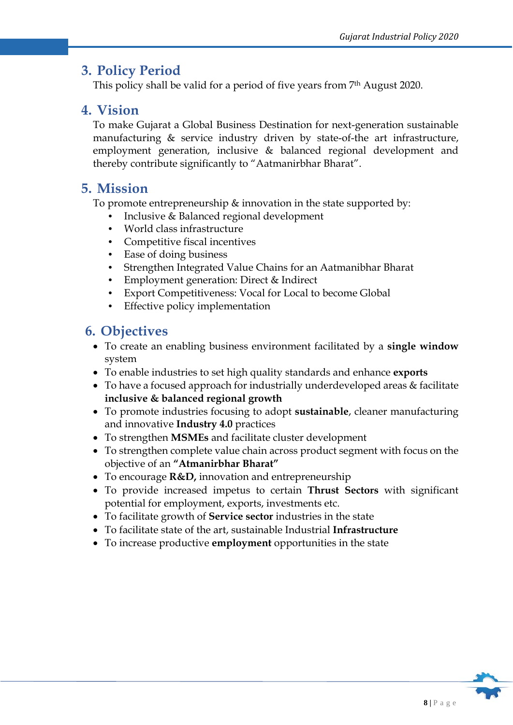#### **3. Policy Period**

This policy shall be valid for a period of five years from 7th August 2020.

#### **4. Vision**

To make Gujarat a Global Business Destination for next-generation sustainable manufacturing & service industry driven by state-of-the art infrastructure, employment generation, inclusive & balanced regional development and thereby contribute significantly to "Aatmanirbhar Bharat".

#### **5. Mission**

To promote entrepreneurship & innovation in the state supported by:

- Inclusive & Balanced regional development
- World class infrastructure
- Competitive fiscal incentives
- Ease of doing business
- Strengthen Integrated Value Chains for an Aatmanibhar Bharat
- Employment generation: Direct & Indirect
- Export Competitiveness: Vocal for Local to become Global
- Effective policy implementation

#### **6. Objectives**

- To create an enabling business environment facilitated by a **single window**  system
- To enable industries to set high quality standards and enhance **exports**
- To have a focused approach for industrially underdeveloped areas & facilitate **inclusive & balanced regional growth**
- To promote industries focusing to adopt **sustainable**, cleaner manufacturing and innovative **Industry 4.0** practices
- To strengthen **MSMEs** and facilitate cluster development
- To strengthen complete value chain across product segment with focus on the objective of an **"Atmanirbhar Bharat"**
- To encourage **R&D,** innovation and entrepreneurship
- To provide increased impetus to certain **Thrust Sectors** with significant potential for employment, exports, investments etc.
- To facilitate growth of **Service sector** industries in the state
- To facilitate state of the art, sustainable Industrial **Infrastructure**
- To increase productive **employment** opportunities in the state

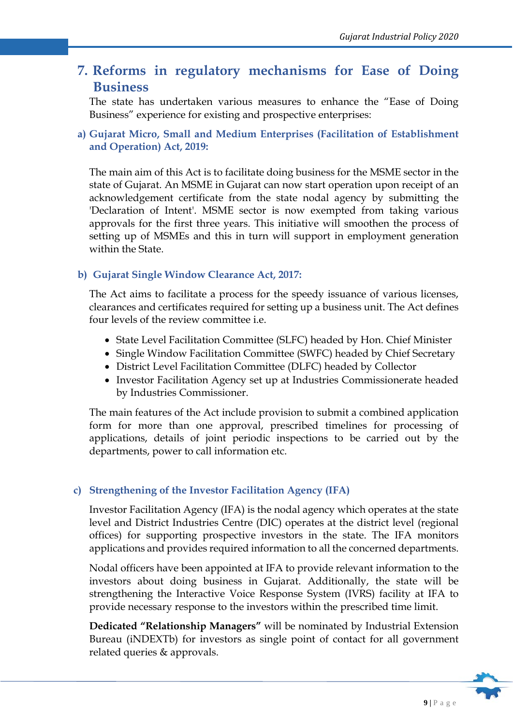#### **7. Reforms in regulatory mechanisms for Ease of Doing Business**

The state has undertaken various measures to enhance the "Ease of Doing Business" experience for existing and prospective enterprises:

#### **a) Gujarat Micro, Small and Medium Enterprises (Facilitation of Establishment and Operation) Act, 2019:**

The main aim of this Act is to facilitate doing business for the MSME sector in the state of Gujarat. An MSME in Gujarat can now start operation upon receipt of an acknowledgement certificate from the state nodal agency by submitting the 'Declaration of Intent'. MSME sector is now exempted from taking various approvals for the first three years. This initiative will smoothen the process of setting up of MSMEs and this in turn will support in employment generation within the State.

#### **b) Gujarat Single Window Clearance Act, 2017:**

The Act aims to facilitate a process for the speedy issuance of various licenses, clearances and certificates required for setting up a business unit. The Act defines four levels of the review committee i.e.

- State Level Facilitation Committee (SLFC) headed by Hon. Chief Minister
- Single Window Facilitation Committee (SWFC) headed by Chief Secretary
- District Level Facilitation Committee (DLFC) headed by Collector
- Investor Facilitation Agency set up at Industries Commissionerate headed by Industries Commissioner.

The main features of the Act include provision to submit a combined application form for more than one approval, prescribed timelines for processing of applications, details of joint periodic inspections to be carried out by the departments, power to call information etc.

#### **c) Strengthening of the Investor Facilitation Agency (IFA)**

Investor Facilitation Agency (IFA) is the nodal agency which operates at the state level and District Industries Centre (DIC) operates at the district level (regional offices) for supporting prospective investors in the state. The IFA monitors applications and provides required information to all the concerned departments.

Nodal officers have been appointed at IFA to provide relevant information to the investors about doing business in Gujarat. Additionally, the state will be strengthening the Interactive Voice Response System (IVRS) facility at IFA to provide necessary response to the investors within the prescribed time limit.

**Dedicated "Relationship Managers"** will be nominated by Industrial Extension Bureau (iNDEXTb) for investors as single point of contact for all government related queries & approvals.

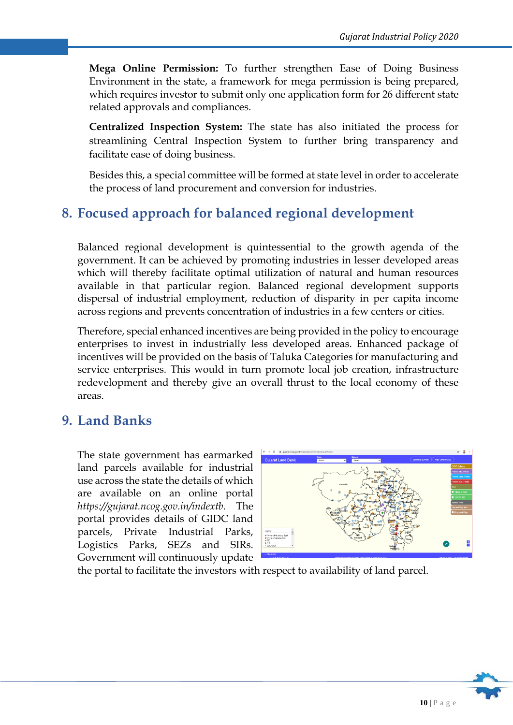**Mega Online Permission:** To further strengthen Ease of Doing Business Environment in the state, a framework for mega permission is being prepared, which requires investor to submit only one application form for 26 different state related approvals and compliances.

**Centralized Inspection System:** The state has also initiated the process for streamlining Central Inspection System to further bring transparency and facilitate ease of doing business.

Besides this, a special committee will be formed at state level in order to accelerate the process of land procurement and conversion for industries.

## **8. Focused approach for balanced regional development**

Balanced regional development is quintessential to the growth agenda of the government. It can be achieved by promoting industries in lesser developed areas which will thereby facilitate optimal utilization of natural and human resources available in that particular region. Balanced regional development supports dispersal of industrial employment, reduction of disparity in per capita income across regions and prevents concentration of industries in a few centers or cities.

Therefore, special enhanced incentives are being provided in the policy to encourage enterprises to invest in industrially less developed areas. Enhanced package of incentives will be provided on the basis of Taluka Categories for manufacturing and service enterprises. This would in turn promote local job creation, infrastructure redevelopment and thereby give an overall thrust to the local economy of these areas.

#### **9. Land Banks**

The state government has earmarked land parcels available for industrial use across the state the details of which are available on an online portal *https://gujarat.ncog.gov.in/indextb*. The portal provides details of GIDC land parcels, Private Industrial Parks, Logistics Parks, SEZs and SIRs. Government will continuously update



the portal to facilitate the investors with respect to availability of land parcel.

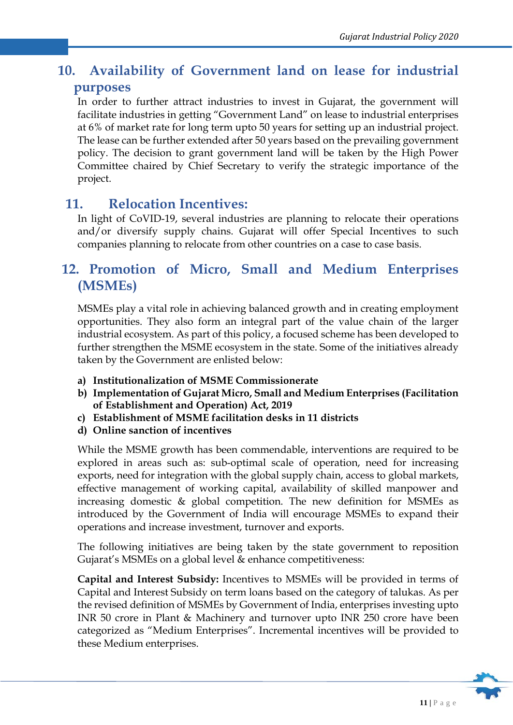## **10. Availability of Government land on lease for industrial purposes**

In order to further attract industries to invest in Gujarat, the government will facilitate industries in getting "Government Land" on lease to industrial enterprises at 6% of market rate for long term upto 50 years for setting up an industrial project. The lease can be further extended after 50 years based on the prevailing government policy. The decision to grant government land will be taken by the High Power Committee chaired by Chief Secretary to verify the strategic importance of the project.

## **11. Relocation Incentives:**

In light of CoVID-19, several industries are planning to relocate their operations and/or diversify supply chains. Gujarat will offer Special Incentives to such companies planning to relocate from other countries on a case to case basis.

## **12. Promotion of Micro, Small and Medium Enterprises (MSMEs)**

MSMEs play a vital role in achieving balanced growth and in creating employment opportunities. They also form an integral part of the value chain of the larger industrial ecosystem. As part of this policy, a focused scheme has been developed to further strengthen the MSME ecosystem in the state. Some of the initiatives already taken by the Government are enlisted below:

- **a) Institutionalization of MSME Commissionerate**
- **b) Implementation of Gujarat Micro, Small and Medium Enterprises (Facilitation of Establishment and Operation) Act, 2019**
- **c) Establishment of MSME facilitation desks in 11 districts**
- **d) Online sanction of incentives**

While the MSME growth has been commendable, interventions are required to be explored in areas such as: sub-optimal scale of operation, need for increasing exports, need for integration with the global supply chain, access to global markets, effective management of working capital, availability of skilled manpower and increasing domestic & global competition. The new definition for MSMEs as introduced by the Government of India will encourage MSMEs to expand their operations and increase investment, turnover and exports.

The following initiatives are being taken by the state government to reposition Gujarat's MSMEs on a global level & enhance competitiveness:

**Capital and Interest Subsidy:** Incentives to MSMEs will be provided in terms of Capital and Interest Subsidy on term loans based on the category of talukas. As per the revised definition of MSMEs by Government of India, enterprises investing upto INR 50 crore in Plant & Machinery and turnover upto INR 250 crore have been categorized as "Medium Enterprises". Incremental incentives will be provided to these Medium enterprises.

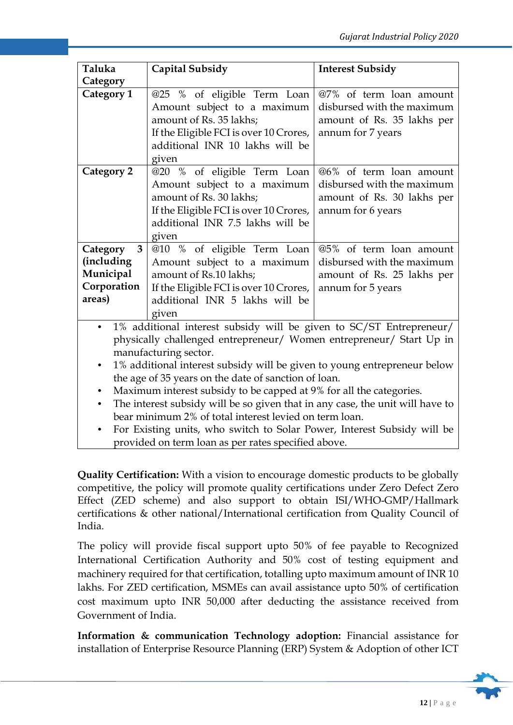| Taluka                                                 | <b>Capital Subsidy</b>                                                        | <b>Interest Subsidy</b>    |  |
|--------------------------------------------------------|-------------------------------------------------------------------------------|----------------------------|--|
| Category                                               |                                                                               |                            |  |
| Category 1                                             | @25 % of eligible Term Loan                                                   | @7% of term loan amount    |  |
|                                                        | Amount subject to a maximum<br>amount of Rs. 35 lakhs;                        | disbursed with the maximum |  |
|                                                        |                                                                               | amount of Rs. 35 lakhs per |  |
|                                                        | If the Eligible FCI is over 10 Crores,<br>additional INR 10 lakhs will be     | annum for 7 years          |  |
|                                                        | given                                                                         |                            |  |
| <b>Category 2</b>                                      | @20 % of eligible Term Loan                                                   | @6% of term loan amount    |  |
|                                                        | Amount subject to a maximum                                                   | disbursed with the maximum |  |
|                                                        | amount of Rs. 30 lakhs;                                                       | amount of Rs. 30 lakhs per |  |
|                                                        | If the Eligible FCI is over 10 Crores,                                        | annum for 6 years          |  |
|                                                        | additional INR 7.5 lakhs will be                                              |                            |  |
|                                                        | given                                                                         |                            |  |
| 3<br>Category                                          | @10 % of eligible Term Loan                                                   | @5% of term loan amount    |  |
| (including                                             | Amount subject to a maximum                                                   | disbursed with the maximum |  |
| Municipal                                              | amount of Rs.10 lakhs;                                                        | amount of Rs. 25 lakhs per |  |
| Corporation                                            | If the Eligible FCI is over 10 Crores,                                        | annum for 5 years          |  |
| areas)                                                 | additional INR 5 lakhs will be                                                |                            |  |
|                                                        | given                                                                         |                            |  |
|                                                        | 1% additional interest subsidy will be given to SC/ST Entrepreneur/           |                            |  |
|                                                        | physically challenged entrepreneur/ Women entrepreneur/ Start Up in           |                            |  |
|                                                        | manufacturing sector.                                                         |                            |  |
|                                                        | 1% additional interest subsidy will be given to young entrepreneur below      |                            |  |
| the age of 35 years on the date of sanction of loan.   |                                                                               |                            |  |
|                                                        | Maximum interest subsidy to be capped at 9% for all the categories.           |                            |  |
|                                                        | The interest subsidy will be so given that in any case, the unit will have to |                            |  |
| bear minimum 2% of total interest levied on term loan. |                                                                               |                            |  |
|                                                        | For Existing units, who switch to Solar Power, Interest Subsidy will be       |                            |  |
|                                                        | provided on term loan as per rates specified above.                           |                            |  |

**Quality Certification:** With a vision to encourage domestic products to be globally competitive, the policy will promote quality certifications under Zero Defect Zero Effect (ZED scheme) and also support to obtain ISI/WHO-GMP/Hallmark certifications & other national/International certification from Quality Council of India.

The policy will provide fiscal support upto 50% of fee payable to Recognized International Certification Authority and 50% cost of testing equipment and machinery required for that certification, totalling upto maximum amount of INR 10 lakhs. For ZED certification, MSMEs can avail assistance upto 50% of certification cost maximum upto INR 50,000 after deducting the assistance received from Government of India.

**Information & communication Technology adoption:** Financial assistance for installation of Enterprise Resource Planning (ERP) System & Adoption of other ICT

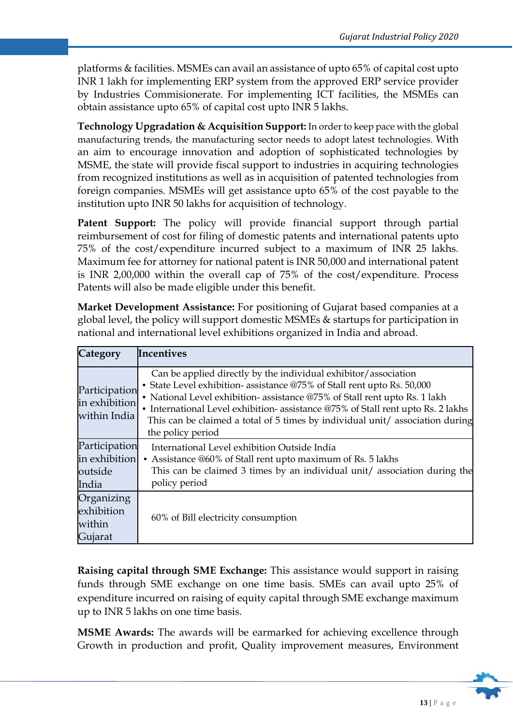platforms & facilities. MSMEs can avail an assistance of upto 65% of capital cost upto INR 1 lakh for implementing ERP system from the approved ERP service provider by Industries Commisionerate. For implementing ICT facilities, the MSMEs can obtain assistance upto 65% of capital cost upto INR 5 lakhs.

**Technology Upgradation & Acquisition Support:** In order to keep pace with the global manufacturing trends, the manufacturing sector needs to adopt latest technologies. With an aim to encourage innovation and adoption of sophisticated technologies by MSME, the state will provide fiscal support to industries in acquiring technologies from recognized institutions as well as in acquisition of patented technologies from foreign companies. MSMEs will get assistance upto 65% of the cost payable to the institution upto INR 50 lakhs for acquisition of technology.

Patent Support: The policy will provide financial support through partial reimbursement of cost for filing of domestic patents and international patents upto 75% of the cost/expenditure incurred subject to a maximum of INR 25 lakhs. Maximum fee for attorney for national patent is INR 50,000 and international patent is INR 2,00,000 within the overall cap of 75% of the cost/expenditure. Process Patents will also be made eligible under this benefit.

**Market Development Assistance:** For positioning of Gujarat based companies at a global level, the policy will support domestic MSMEs & startups for participation in national and international level exhibitions organized in India and abroad.

| Category                                           | <b>Incentives</b>                                                                                                                                                                                                                                                                                                                                                                                                 |
|----------------------------------------------------|-------------------------------------------------------------------------------------------------------------------------------------------------------------------------------------------------------------------------------------------------------------------------------------------------------------------------------------------------------------------------------------------------------------------|
| Participation<br>in exhibition<br>within India     | Can be applied directly by the individual exhibitor/association<br>• State Level exhibition- assistance @75% of Stall rent upto Rs. 50,000<br>• National Level exhibition- assistance @75% of Stall rent upto Rs. 1 lakh<br>• International Level exhibition- assistance @75% of Stall rent upto Rs. 2 lakhs<br>This can be claimed a total of 5 times by individual unit/association during<br>the policy period |
| Participation<br>in exhibition<br>outside<br>India | International Level exhibition Outside India<br>Assistance @60% of Stall rent upto maximum of Rs. 5 lakhs<br>This can be claimed 3 times by an individual unit/ association during the<br>policy period                                                                                                                                                                                                           |
| Organizing<br>exhibition<br>within<br>Gujarat      | 60% of Bill electricity consumption                                                                                                                                                                                                                                                                                                                                                                               |

**Raising capital through SME Exchange:** This assistance would support in raising funds through SME exchange on one time basis. SMEs can avail upto 25% of expenditure incurred on raising of equity capital through SME exchange maximum up to INR 5 lakhs on one time basis.

**MSME Awards:** The awards will be earmarked for achieving excellence through Growth in production and profit, Quality improvement measures, Environment

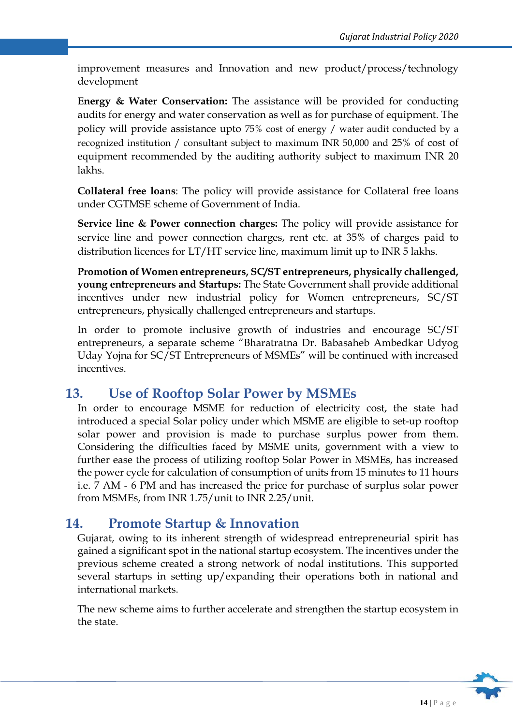improvement measures and Innovation and new product/process/technology development

**Energy & Water Conservation:** The assistance will be provided for conducting audits for energy and water conservation as well as for purchase of equipment. The policy will provide assistance upto 75% cost of energy / water audit conducted by a recognized institution / consultant subject to maximum INR 50,000 and 25% of cost of equipment recommended by the auditing authority subject to maximum INR 20 lakhs.

**Collateral free loans**: The policy will provide assistance for Collateral free loans under CGTMSE scheme of Government of India.

**Service line & Power connection charges:** The policy will provide assistance for service line and power connection charges, rent etc. at 35% of charges paid to distribution licences for LT/HT service line, maximum limit up to INR 5 lakhs.

**Promotion of Women entrepreneurs, SC/ST entrepreneurs, physically challenged, young entrepreneurs and Startups:** The State Government shall provide additional incentives under new industrial policy for Women entrepreneurs, SC/ST entrepreneurs, physically challenged entrepreneurs and startups.

In order to promote inclusive growth of industries and encourage SC/ST entrepreneurs, a separate scheme "Bharatratna Dr. Babasaheb Ambedkar Udyog Uday Yojna for SC/ST Entrepreneurs of MSMEs" will be continued with increased incentives.

#### **13. Use of Rooftop Solar Power by MSMEs**

In order to encourage MSME for reduction of electricity cost, the state had introduced a special Solar policy under which MSME are eligible to set-up rooftop solar power and provision is made to purchase surplus power from them. Considering the difficulties faced by MSME units, government with a view to further ease the process of utilizing rooftop Solar Power in MSMEs, has increased the power cycle for calculation of consumption of units from 15 minutes to 11 hours i.e. 7 AM - 6 PM and has increased the price for purchase of surplus solar power from MSMEs, from INR 1.75/unit to INR 2.25/unit.

#### **14. Promote Startup & Innovation**

Gujarat, owing to its inherent strength of widespread entrepreneurial spirit has gained a significant spot in the national startup ecosystem. The incentives under the previous scheme created a strong network of nodal institutions. This supported several startups in setting up/expanding their operations both in national and international markets.

The new scheme aims to further accelerate and strengthen the startup ecosystem in the state.

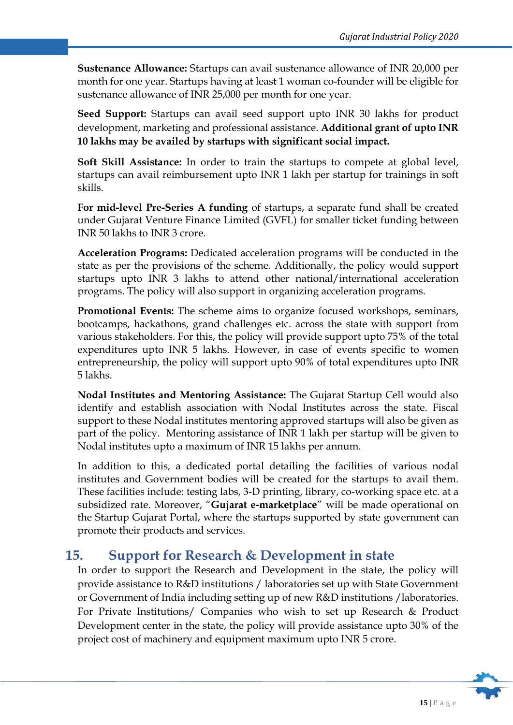**Sustenance Allowance:** Startups can avail sustenance allowance of INR 20,000 per month for one year. Startups having at least 1 woman co-founder will be eligible for sustenance allowance of INR 25,000 per month for one year.

**Seed Support:** Startups can avail seed support upto INR 30 lakhs for product development, marketing and professional assistance. **Additional grant of upto INR 10 lakhs may be availed by startups with significant social impact.** 

**Soft Skill Assistance:** In order to train the startups to compete at global level, startups can avail reimbursement upto INR 1 lakh per startup for trainings in soft skills.

**For mid-level Pre-Series A funding** of startups, a separate fund shall be created under Gujarat Venture Finance Limited (GVFL) for smaller ticket funding between INR 50 lakhs to INR 3 crore.

**Acceleration Programs:** Dedicated acceleration programs will be conducted in the state as per the provisions of the scheme. Additionally, the policy would support startups upto INR 3 lakhs to attend other national/international acceleration programs. The policy will also support in organizing acceleration programs.

**Promotional Events:** The scheme aims to organize focused workshops, seminars, bootcamps, hackathons, grand challenges etc. across the state with support from various stakeholders. For this, the policy will provide support upto 75% of the total expenditures upto INR 5 lakhs. However, in case of events specific to women entrepreneurship, the policy will support upto 90% of total expenditures upto INR 5 lakhs.

**Nodal Institutes and Mentoring Assistance:** The Gujarat Startup Cell would also identify and establish association with Nodal Institutes across the state. Fiscal support to these Nodal institutes mentoring approved startups will also be given as part of the policy. Mentoring assistance of INR 1 lakh per startup will be given to Nodal institutes upto a maximum of INR 15 lakhs per annum.

In addition to this, a dedicated portal detailing the facilities of various nodal institutes and Government bodies will be created for the startups to avail them. These facilities include: testing labs, 3-D printing, library, co-working space etc. at a subsidized rate. Moreover, "**Gujarat e-marketplace**" will be made operational on the Startup Gujarat Portal, where the startups supported by state government can promote their products and services.

## **15. Support for Research & Development in state**

In order to support the Research and Development in the state, the policy will provide assistance to R&D institutions / laboratories set up with State Government or Government of India including setting up of new R&D institutions /laboratories. For Private Institutions/ Companies who wish to set up Research & Product Development center in the state, the policy will provide assistance upto 30% of the project cost of machinery and equipment maximum upto INR 5 crore.

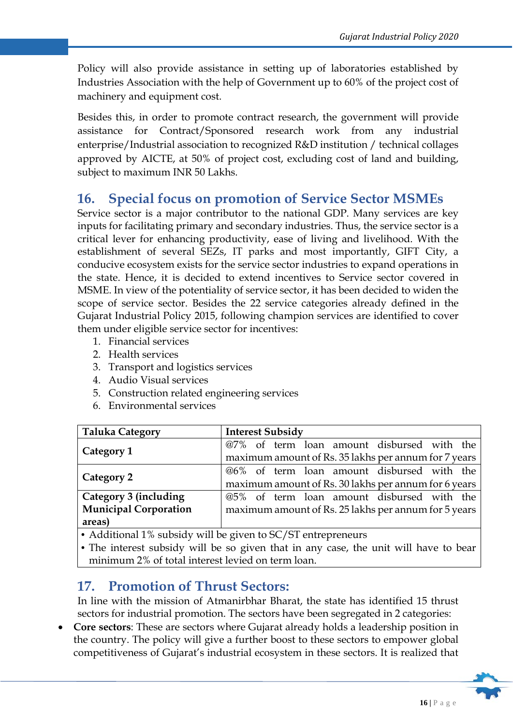Policy will also provide assistance in setting up of laboratories established by Industries Association with the help of Government up to 60% of the project cost of machinery and equipment cost.

Besides this, in order to promote contract research, the government will provide assistance for Contract/Sponsored research work from any industrial enterprise/Industrial association to recognized R&D institution / technical collages approved by AICTE, at 50% of project cost, excluding cost of land and building, subject to maximum INR 50 Lakhs.

## **16. Special focus on promotion of Service Sector MSMEs**

Service sector is a major contributor to the national GDP. Many services are key inputs for facilitating primary and secondary industries. Thus, the service sector is a critical lever for enhancing productivity, ease of living and livelihood. With the establishment of several SEZs, IT parks and most importantly, GIFT City, a conducive ecosystem exists for the service sector industries to expand operations in the state. Hence, it is decided to extend incentives to Service sector covered in MSME. In view of the potentiality of service sector, it has been decided to widen the scope of service sector. Besides the 22 service categories already defined in the Gujarat Industrial Policy 2015, following champion services are identified to cover them under eligible service sector for incentives:

- 1. Financial services
- 2. Health services
- 3. Transport and logistics services
- 4. Audio Visual services
- 5. Construction related engineering services
- 6. Environmental services

| <b>Taluka Category</b>       | <b>Interest Subsidy</b>                              |  |  |  |
|------------------------------|------------------------------------------------------|--|--|--|
|                              | @7% of term loan amount disbursed with the           |  |  |  |
| Category 1                   | maximum amount of Rs. 35 lakhs per annum for 7 years |  |  |  |
|                              | @6% of term loan amount disbursed with the           |  |  |  |
| Category 2                   | maximum amount of Rs. 30 lakhs per annum for 6 years |  |  |  |
| Category 3 (including        | @5% of term loan amount disbursed with the           |  |  |  |
| <b>Municipal Corporation</b> | maximum amount of Rs. 25 lakhs per annum for 5 years |  |  |  |
| areas)                       |                                                      |  |  |  |

• Additional 1% subsidy will be given to SC/ST entrepreneurs

• The interest subsidy will be so given that in any case, the unit will have to bear minimum 2% of total interest levied on term loan.

## **17. Promotion of Thrust Sectors:**

In line with the mission of Atmanirbhar Bharat, the state has identified 15 thrust sectors for industrial promotion. The sectors have been segregated in 2 categories:

• **Core sectors**: These are sectors where Gujarat already holds a leadership position in the country. The policy will give a further boost to these sectors to empower global competitiveness of Gujarat's industrial ecosystem in these sectors. It is realized that

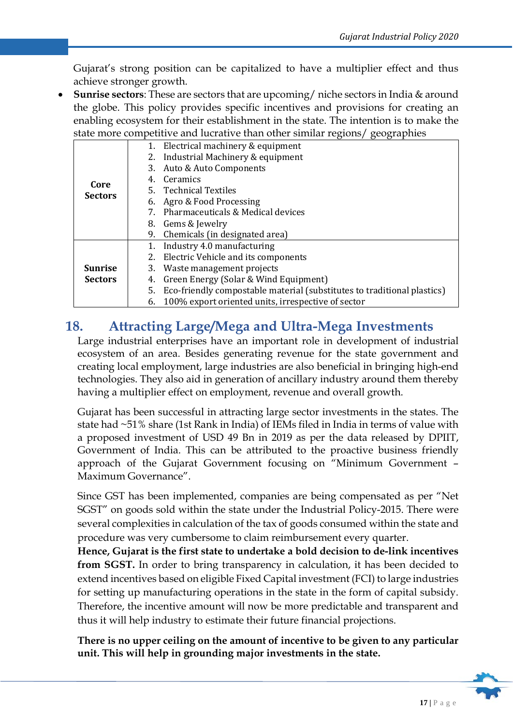Gujarat's strong position can be capitalized to have a multiplier effect and thus achieve stronger growth.

• **Sunrise sectors**: These are sectors that are upcoming/ niche sectors in India & around the globe. This policy provides specific incentives and provisions for creating an enabling ecosystem for their establishment in the state. The intention is to make the state more competitive and lucrative than other similar regions/ geographies

|                | $\sim$ הייח $\sim$ ושלים ובית<br>1. Electrical machinery & equipment          |
|----------------|-------------------------------------------------------------------------------|
|                | 2. Industrial Machinery & equipment                                           |
|                |                                                                               |
|                | 3. Auto & Auto Components                                                     |
| Core           | Ceramics                                                                      |
| <b>Sectors</b> | 5. Technical Textiles                                                         |
|                | Agro & Food Processing<br>6.                                                  |
|                | 7. Pharmaceuticals & Medical devices                                          |
|                | 8. Gems & Jewelry                                                             |
|                | 9. Chemicals (in designated area)                                             |
|                | Industry 4.0 manufacturing                                                    |
|                | 2. Electric Vehicle and its components                                        |
| <b>Sunrise</b> | Waste management projects<br>3.                                               |
| <b>Sectors</b> | Green Energy (Solar & Wind Equipment)<br>4.                                   |
|                | Eco-friendly compostable material (substitutes to traditional plastics)<br>5. |
|                | 100% export oriented units, irrespective of sector<br>6.                      |

## **18. Attracting Large/Mega and Ultra-Mega Investments**

Large industrial enterprises have an important role in development of industrial ecosystem of an area. Besides generating revenue for the state government and creating local employment, large industries are also beneficial in bringing high-end technologies. They also aid in generation of ancillary industry around them thereby having a multiplier effect on employment, revenue and overall growth.

Gujarat has been successful in attracting large sector investments in the states. The state had ~51% share (1st Rank in India) of IEMs filed in India in terms of value with a proposed investment of USD 49 Bn in 2019 as per the data released by DPIIT, Government of India. This can be attributed to the proactive business friendly approach of the Gujarat Government focusing on "Minimum Government – Maximum Governance".

Since GST has been implemented, companies are being compensated as per "Net SGST" on goods sold within the state under the Industrial Policy-2015. There were several complexities in calculation of the tax of goods consumed within the state and procedure was very cumbersome to claim reimbursement every quarter.

**Hence, Gujarat is the first state to undertake a bold decision to de-link incentives from SGST.** In order to bring transparency in calculation, it has been decided to extend incentives based on eligible Fixed Capital investment (FCI) to large industries for setting up manufacturing operations in the state in the form of capital subsidy. Therefore, the incentive amount will now be more predictable and transparent and thus it will help industry to estimate their future financial projections.

#### **There is no upper ceiling on the amount of incentive to be given to any particular unit. This will help in grounding major investments in the state.**

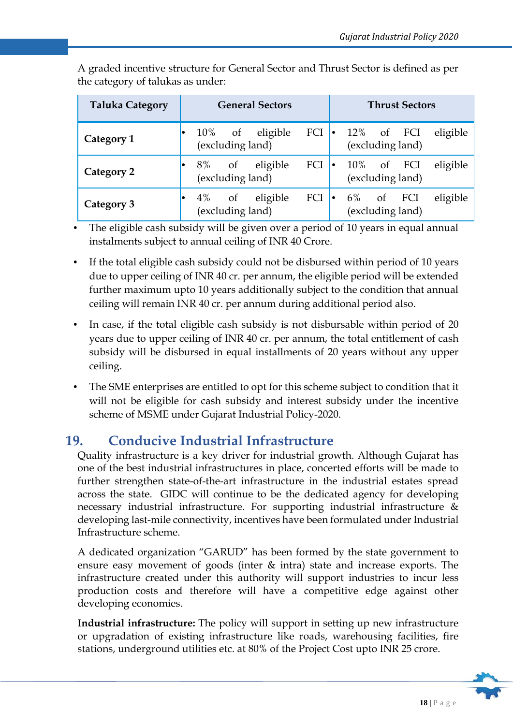| <b>Taluka Category</b> | <b>General Sectors</b>                          | <b>Thrust Sectors</b>                                      |
|------------------------|-------------------------------------------------|------------------------------------------------------------|
| Category 1             | FCI<br>10% of eligible<br>(excluding land)      | $12\%$ of FCI<br>eligible<br>$\bullet$<br>(excluding land) |
| Category 2             | FCI<br>8% of<br>eligible<br>(excluding land)    | eligible<br>10% of FCI<br>(excluding land)                 |
| Category 3             | FCI<br>$4\%$ of<br>eligible<br>(excluding land) | eligible<br>6%<br>of FCI<br>(excluding land)               |

A graded incentive structure for General Sector and Thrust Sector is defined as per the category of talukas as under:

The eligible cash subsidy will be given over a period of 10 years in equal annual instalments subject to annual ceiling of INR 40 Crore.

- If the total eligible cash subsidy could not be disbursed within period of 10 years due to upper ceiling of INR 40 cr. per annum, the eligible period will be extended further maximum upto 10 years additionally subject to the condition that annual ceiling will remain INR 40 cr. per annum during additional period also.
- In case, if the total eligible cash subsidy is not disbursable within period of 20 years due to upper ceiling of INR 40 cr. per annum, the total entitlement of cash subsidy will be disbursed in equal installments of 20 years without any upper ceiling.
- The SME enterprises are entitled to opt for this scheme subject to condition that it will not be eligible for cash subsidy and interest subsidy under the incentive scheme of MSME under Gujarat Industrial Policy-2020.

## **19. Conducive Industrial Infrastructure**

Quality infrastructure is a key driver for industrial growth. Although Gujarat has one of the best industrial infrastructures in place, concerted efforts will be made to further strengthen state-of-the-art infrastructure in the industrial estates spread across the state. GIDC will continue to be the dedicated agency for developing necessary industrial infrastructure. For supporting industrial infrastructure & developing last-mile connectivity, incentives have been formulated under Industrial Infrastructure scheme.

A dedicated organization "GARUD" has been formed by the state government to ensure easy movement of goods (inter & intra) state and increase exports. The infrastructure created under this authority will support industries to incur less production costs and therefore will have a competitive edge against other developing economies.

**Industrial infrastructure:** The policy will support in setting up new infrastructure or upgradation of existing infrastructure like roads, warehousing facilities, fire stations, underground utilities etc. at 80% of the Project Cost upto INR 25 crore.

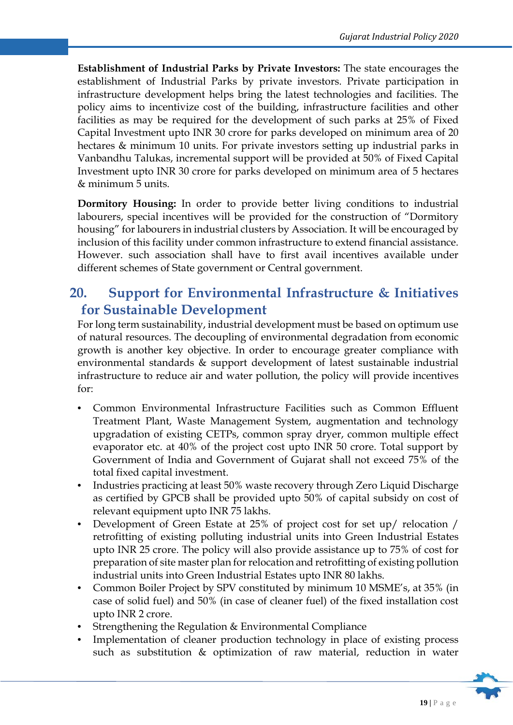**Establishment of Industrial Parks by Private Investors:** The state encourages the establishment of Industrial Parks by private investors. Private participation in infrastructure development helps bring the latest technologies and facilities. The policy aims to incentivize cost of the building, infrastructure facilities and other facilities as may be required for the development of such parks at 25% of Fixed Capital Investment upto INR 30 crore for parks developed on minimum area of 20 hectares & minimum 10 units. For private investors setting up industrial parks in Vanbandhu Talukas, incremental support will be provided at 50% of Fixed Capital Investment upto INR 30 crore for parks developed on minimum area of 5 hectares & minimum 5 units.

**Dormitory Housing:** In order to provide better living conditions to industrial labourers, special incentives will be provided for the construction of "Dormitory housing" for labourers in industrial clusters by Association. It will be encouraged by inclusion of this facility under common infrastructure to extend financial assistance. However. such association shall have to first avail incentives available under different schemes of State government or Central government.

## **20. Support for Environmental Infrastructure & Initiatives for Sustainable Development**

For long term sustainability, industrial development must be based on optimum use of natural resources. The decoupling of environmental degradation from economic growth is another key objective. In order to encourage greater compliance with environmental standards & support development of latest sustainable industrial infrastructure to reduce air and water pollution, the policy will provide incentives for:

- Common Environmental Infrastructure Facilities such as Common Effluent Treatment Plant, Waste Management System, augmentation and technology upgradation of existing CETPs, common spray dryer, common multiple effect evaporator etc. at 40% of the project cost upto INR 50 crore. Total support by Government of India and Government of Gujarat shall not exceed 75% of the total fixed capital investment.
- Industries practicing at least 50% waste recovery through Zero Liquid Discharge as certified by GPCB shall be provided upto 50% of capital subsidy on cost of relevant equipment upto INR 75 lakhs.
- Development of Green Estate at 25% of project cost for set up/ relocation / retrofitting of existing polluting industrial units into Green Industrial Estates upto INR 25 crore. The policy will also provide assistance up to 75% of cost for preparation of site master plan for relocation and retrofitting of existing pollution industrial units into Green Industrial Estates upto INR 80 lakhs.
- Common Boiler Project by SPV constituted by minimum 10 MSME's, at 35% (in case of solid fuel) and 50% (in case of cleaner fuel) of the fixed installation cost upto INR 2 crore.
- Strengthening the Regulation & Environmental Compliance
- Implementation of cleaner production technology in place of existing process such as substitution & optimization of raw material, reduction in water

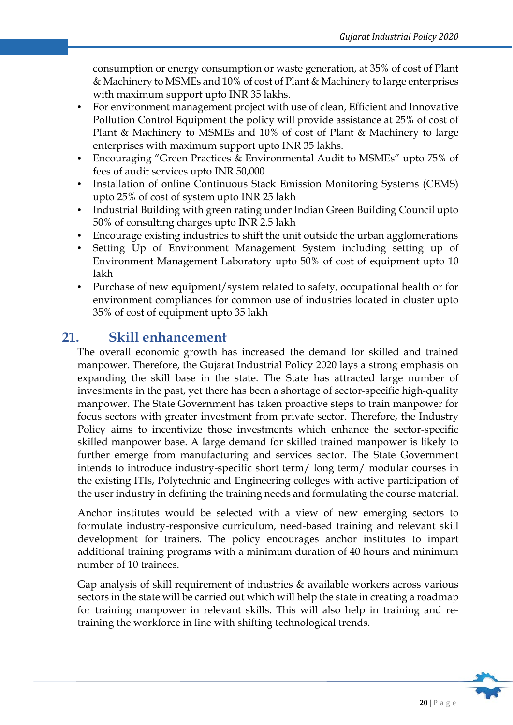consumption or energy consumption or waste generation, at 35% of cost of Plant & Machinery to MSMEs and 10% of cost of Plant & Machinery to large enterprises with maximum support upto INR 35 lakhs.

- For environment management project with use of clean, Efficient and Innovative Pollution Control Equipment the policy will provide assistance at 25% of cost of Plant & Machinery to MSMEs and 10% of cost of Plant & Machinery to large enterprises with maximum support upto INR 35 lakhs.
- Encouraging "Green Practices & Environmental Audit to MSMEs" upto 75% of fees of audit services upto INR 50,000
- Installation of online Continuous Stack Emission Monitoring Systems (CEMS) upto 25% of cost of system upto INR 25 lakh
- Industrial Building with green rating under Indian Green Building Council upto 50% of consulting charges upto INR 2.5 lakh
- Encourage existing industries to shift the unit outside the urban agglomerations
- Setting Up of Environment Management System including setting up of Environment Management Laboratory upto 50% of cost of equipment upto 10 lakh
- Purchase of new equipment/system related to safety, occupational health or for environment compliances for common use of industries located in cluster upto 35% of cost of equipment upto 35 lakh

## **21. Skill enhancement**

The overall economic growth has increased the demand for skilled and trained manpower. Therefore, the Gujarat Industrial Policy 2020 lays a strong emphasis on expanding the skill base in the state. The State has attracted large number of investments in the past, yet there has been a shortage of sector-specific high-quality manpower. The State Government has taken proactive steps to train manpower for focus sectors with greater investment from private sector. Therefore, the Industry Policy aims to incentivize those investments which enhance the sector-specific skilled manpower base. A large demand for skilled trained manpower is likely to further emerge from manufacturing and services sector. The State Government intends to introduce industry-specific short term/ long term/ modular courses in the existing ITIs, Polytechnic and Engineering colleges with active participation of the user industry in defining the training needs and formulating the course material.

Anchor institutes would be selected with a view of new emerging sectors to formulate industry-responsive curriculum, need-based training and relevant skill development for trainers. The policy encourages anchor institutes to impart additional training programs with a minimum duration of 40 hours and minimum number of 10 trainees.

Gap analysis of skill requirement of industries & available workers across various sectors in the state will be carried out which will help the state in creating a roadmap for training manpower in relevant skills. This will also help in training and retraining the workforce in line with shifting technological trends.

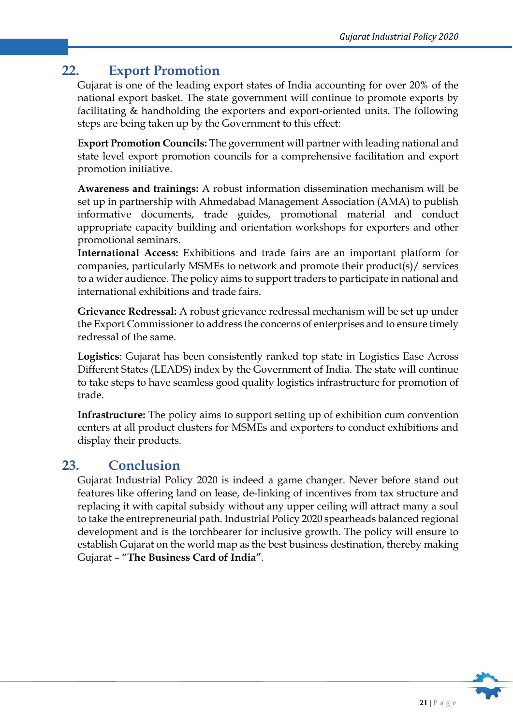## **22. Export Promotion**

Gujarat is one of the leading export states of India accounting for over 20% of the national export basket. The state government will continue to promote exports by facilitating & handholding the exporters and export-oriented units. The following steps are being taken up by the Government to this effect:

**Export Promotion Councils:** The government will partner with leading national and state level export promotion councils for a comprehensive facilitation and export promotion initiative.

**Awareness and trainings:** A robust information dissemination mechanism will be set up in partnership with Ahmedabad Management Association (AMA) to publish informative documents, trade guides, promotional material and conduct appropriate capacity building and orientation workshops for exporters and other promotional seminars.

**International Access:** Exhibitions and trade fairs are an important platform for companies, particularly MSMEs to network and promote their product(s)/ services to a wider audience. The policy aims to support traders to participate in national and international exhibitions and trade fairs.

**Grievance Redressal:** A robust grievance redressal mechanism will be set up under the Export Commissioner to address the concerns of enterprises and to ensure timely redressal of the same.

**Logistics**: Gujarat has been consistently ranked top state in Logistics Ease Across Different States (LEADS) index by the Government of India. The state will continue to take steps to have seamless good quality logistics infrastructure for promotion of trade.

**Infrastructure:** The policy aims to support setting up of exhibition cum convention centers at all product clusters for MSMEs and exporters to conduct exhibitions and display their products.

## **23. Conclusion**

Gujarat Industrial Policy 2020 is indeed a game changer. Never before stand out features like offering land on lease, de-linking of incentives from tax structure and replacing it with capital subsidy without any upper ceiling will attract many a soul to take the entrepreneurial path. Industrial Policy 2020 spearheads balanced regional development and is the torchbearer for inclusive growth. The policy will ensure to establish Gujarat on the world map as the best business destination, thereby making Gujarat – "**The Business Card of India"**.

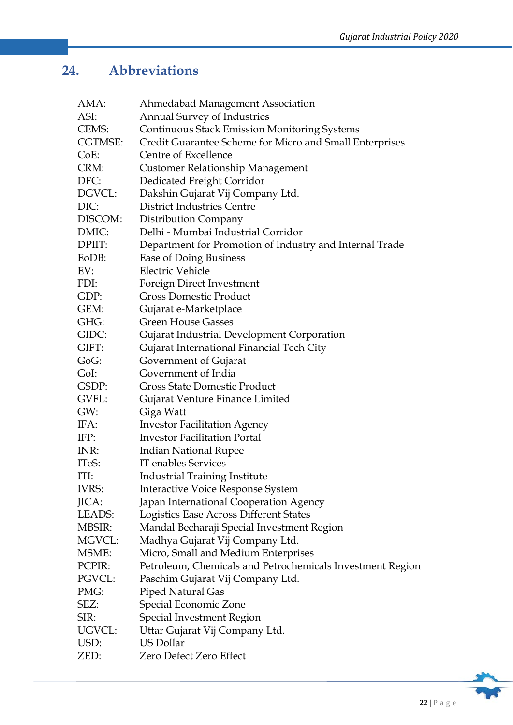## **24. Abbreviations**

| AMA:           | Ahmedabad Management Association                          |
|----------------|-----------------------------------------------------------|
| ASI:           | <b>Annual Survey of Industries</b>                        |
| CEMS:          | <b>Continuous Stack Emission Monitoring Systems</b>       |
| <b>CGTMSE:</b> | Credit Guarantee Scheme for Micro and Small Enterprises   |
| CoE:           | Centre of Excellence                                      |
| CRM:           | Customer Relationship Management                          |
| DFC:           | Dedicated Freight Corridor                                |
| DGVCL:         | Dakshin Gujarat Vij Company Ltd.                          |
| DIC:           | <b>District Industries Centre</b>                         |
| DISCOM:        | Distribution Company                                      |
| DMIC:          | Delhi - Mumbai Industrial Corridor                        |
| DPIIT:         | Department for Promotion of Industry and Internal Trade   |
| EoDB:          | Ease of Doing Business                                    |
| EV:            | <b>Electric Vehicle</b>                                   |
| FDI:           | Foreign Direct Investment                                 |
| GDP:           | <b>Gross Domestic Product</b>                             |
| GEM:           | Gujarat e-Marketplace                                     |
| GHG:           | <b>Green House Gasses</b>                                 |
| GIDC:          | Gujarat Industrial Development Corporation                |
| GIFT:          | Gujarat International Financial Tech City                 |
| GoG:           | Government of Gujarat                                     |
| GoI:           | Government of India                                       |
| GSDP:          | <b>Gross State Domestic Product</b>                       |
| GVFL:          | Gujarat Venture Finance Limited                           |
| GW:            | Giga Watt                                                 |
| IFA:           | <b>Investor Facilitation Agency</b>                       |
| IFP:           | <b>Investor Facilitation Portal</b>                       |
| INR:           | Indian National Rupee                                     |
| ITeS:          | IT enables Services                                       |
| ITI:           | <b>Industrial Training Institute</b>                      |
| <b>IVRS:</b>   | <b>Interactive Voice Response System</b>                  |
| JICA:          | Japan International Cooperation Agency                    |
| LEADS:         | Logistics Ease Across Different States                    |
| <b>MBSIR:</b>  | Mandal Becharaji Special Investment Region                |
| MGVCL:         | Madhya Gujarat Vij Company Ltd.                           |
| MSME:          | Micro, Small and Medium Enterprises                       |
| PCPIR:         | Petroleum, Chemicals and Petrochemicals Investment Region |
| PGVCL:         | Paschim Gujarat Vij Company Ltd.                          |
| PMG:           | <b>Piped Natural Gas</b>                                  |
| SEZ:           | Special Economic Zone                                     |
| SIR:           | <b>Special Investment Region</b>                          |
| UGVCL:         | Uttar Gujarat Vij Company Ltd.                            |
| USD:           | <b>US Dollar</b>                                          |
| ZED:           | Zero Defect Zero Effect                                   |